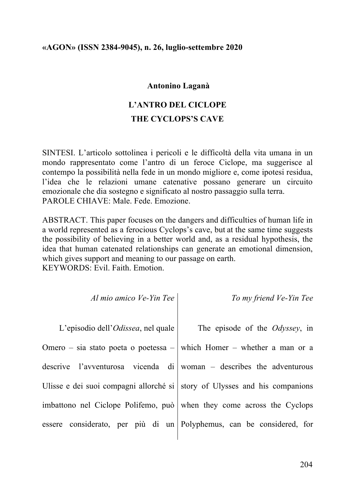# **Antonino Laganà**

# **L'ANTRO DEL CICLOPE THE CYCLOPS'S CAVE**

SINTESI. L'articolo sottolinea i pericoli e le difficoltà della vita umana in un mondo rappresentato come l'antro di un feroce Ciclope, ma suggerisce al contempo la possibilità nella fede in un mondo migliore e, come ipotesi residua, l'idea che le relazioni umane catenative possano generare un circuito emozionale che dia sostegno e significato al nostro passaggio sulla terra. PAROLE CHIAVE: Male. Fede. Emozione.

ABSTRACT. This paper focuses on the dangers and difficulties of human life in a world represented as a ferocious Cyclops's cave, but at the same time suggests the possibility of believing in a better world and, as a residual hypothesis, the idea that human catenated relationships can generate an emotional dimension, which gives support and meaning to our passage on earth. KEYWORDS: Evil. Faith. Emotion.

*Al mio amico Ve-Yin Tee*

*To my friend Ve-Yin Tee*

L'episodio dell'*Odissea*, nel quale Omero – sia stato poeta o poetessa – descrive l'avventurosa vicenda di Ulisse e dei suoi compagni allorché si imbattono nel Ciclope Polifemo, può essere considerato, per più di un Polyphemus, can be considered, for

The episode of the *Odyssey*, in which Homer – whether a man or a woman – describes the adventurous story of Ulysses and his companions when they come across the Cyclops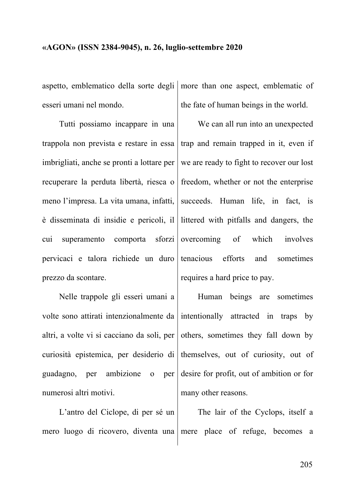esseri umani nel mondo.

Tutti possiamo incappare in una trappola non prevista e restare in essa imbrigliati, anche se pronti a lottare per recuperare la perduta libertà, riesca o meno l'impresa. La vita umana, infatti, è disseminata di insidie e pericoli, il cui superamento comporta sforzi pervicaci e talora richiede un duro prezzo da scontare.

Nelle trappole gli esseri umani a volte sono attirati intenzionalmente da altri, a volte vi si cacciano da soli, per curiosità epistemica, per desiderio di themselves, out of curiosity, out of guadagno, per ambizione o per numerosi altri motivi.

L'antro del Ciclope, di per sé un mero luogo di ricovero, diventa una mere place of refuge, becomes a

aspetto, emblematico della sorte degli more than one aspect, emblematic of the fate of human beings in the world.

> We can all run into an unexpected trap and remain trapped in it, even if we are ready to fight to recover our lost freedom, whether or not the enterprise succeeds. Human life, in fact, is littered with pitfalls and dangers, the overcoming of which involves tenacious efforts and sometimes requires a hard price to pay.

> Human beings are sometimes intentionally attracted in traps by others, sometimes they fall down by desire for profit, out of ambition or for many other reasons.

The lair of the Cyclops, itself a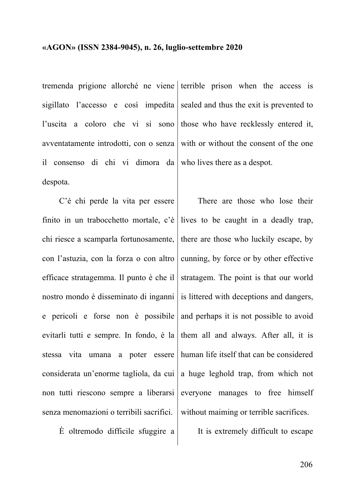tremenda prigione allorché ne viene terrible prison when the access is sigillato l'accesso e così impedita l'uscita a coloro che vi si sono avventatamente introdotti, con o senza il consenso di chi vi dimora da despota.

C'è chi perde la vita per essere finito in un trabocchetto mortale, c'è chi riesce a scamparla fortunosamente, con l'astuzia, con la forza o con altro efficace stratagemma. Il punto è che il nostro mondo è disseminato di inganni e pericoli e forse non è possibile evitarli tutti e sempre. In fondo, è la stessa vita umana a poter essere considerata un'enorme tagliola, da cui non tutti riescono sempre a liberarsi senza menomazioni o terribili sacrifici.

È oltremodo difficile sfuggire a

sealed and thus the exit is prevented to those who have recklessly entered it, with or without the consent of the one who lives there as a despot.

There are those who lose their lives to be caught in a deadly trap, there are those who luckily escape, by cunning, by force or by other effective stratagem. The point is that our world is littered with deceptions and dangers, and perhaps it is not possible to avoid them all and always. After all, it is human life itself that can be considered a huge leghold trap, from which not everyone manages to free himself without maiming or terrible sacrifices.

It is extremely difficult to escape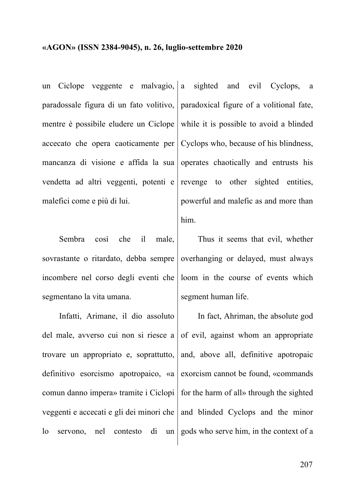un Ciclope veggente e malvagio, paradossale figura di un fato volitivo, mentre è possibile eludere un Ciclope accecato che opera caoticamente per mancanza di visione e affida la sua vendetta ad altri veggenti, potenti e malefici come e più di lui.

Sembra così che il male, sovrastante o ritardato, debba sempre incombere nel corso degli eventi che segmentano la vita umana.

Infatti, Arimane, il dio assoluto del male, avverso cui non si riesce a trovare un appropriato e, soprattutto, definitivo esorcismo apotropaico, «a comun danno impera» tramite i Ciclopi veggenti e accecati e gli dei minori che lo servono, nel contesto di un

sighted and evil Cyclops, a paradoxical figure of a volitional fate, while it is possible to avoid a blinded Cyclops who, because of his blindness, operates chaotically and entrusts his revenge to other sighted entities, powerful and malefic as and more than him.

Thus it seems that evil, whether overhanging or delayed, must always loom in the course of events which segment human life.

In fact, Ahriman, the absolute god of evil, against whom an appropriate and, above all, definitive apotropaic exorcism cannot be found, «commands for the harm of all» through the sighted and blinded Cyclops and the minor gods who serve him, in the context of a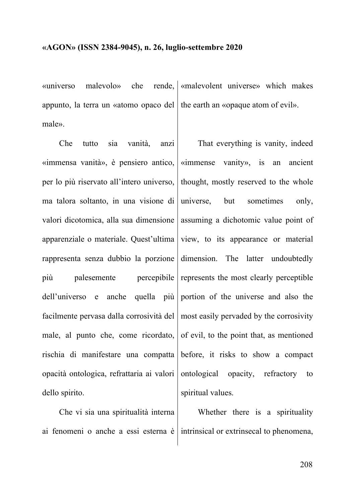$\langle$ universo malevolo $\rangle$  che appunto, la terra un «atomo opaco del male». rende, sameword universes which makes the earth an «opaque atom of evil».

Che tutto sia vanità, anzi «immensa vanità», è pensiero antico, per lo più riservato all'intero universo, ma talora soltanto, in una visione di valori dicotomica, alla sua dimensione apparenziale o materiale. Quest'ultima rappresenta senza dubbio la porzione più palesemente percepibile dell'universo e anche quella più facilmente pervasa dalla corrosività del male, al punto che, come ricordato, rischia di manifestare una compatta opacità ontologica, refrattaria ai valori dello spirito.

Che vi sia una spiritualità interna ai fenomeni o anche a essi esterna è intrinsical or extrinsecal to phenomena,

That everything is vanity, indeed «immense vanity», is an ancient thought, mostly reserved to the whole universe, but sometimes only, assuming a dichotomic value point of view, to its appearance or material dimension. The latter undoubtedly represents the most clearly perceptible portion of the universe and also the most easily pervaded by the corrosivity of evil, to the point that, as mentioned before, it risks to show a compact ontological opacity, refractory to spiritual values.

Whether there is a spirituality

208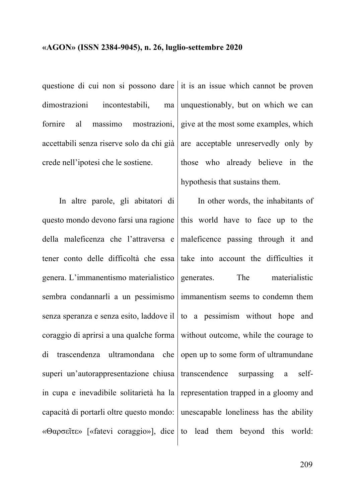dimostrazioni incontestabili, ma fornire al massimo mostrazioni, accettabili senza riserve solo da chi già crede nell'ipotesi che le sostiene.

In altre parole, gli abitatori di questo mondo devono farsi una ragione della maleficenza che l'attraversa e tener conto delle difficoltà che essa genera. L'immanentismo materialistico sembra condannarli a un pessimismo senza speranza e senza esito, laddove il coraggio di aprirsi a una qualche forma di trascendenza ultramondana che superi un'autorappresentazione chiusa in cupa e inevadibile solitarietà ha la capacità di portarli oltre questo mondo: «Θαρσεῖτε» [«fatevi coraggio»], dice to lead them beyond this world:

questione di cui non si possono dare it is an issue which cannot be proven unquestionably, but on which we can give at the most some examples, which are acceptable unreservedly only by those who already believe in the hypothesis that sustains them.

> In other words, the inhabitants of this world have to face up to the maleficence passing through it and take into account the difficulties it generates. The materialistic immanentism seems to condemn them to a pessimism without hope and without outcome, while the courage to open up to some form of ultramundane transcendence surpassing a selfrepresentation trapped in a gloomy and unescapable loneliness has the ability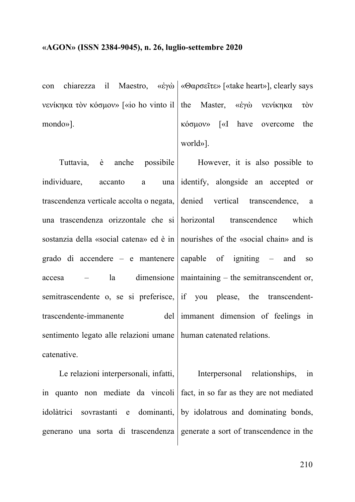con chiarezza il Maestro, «ἐγὼ «Θαρσεῖτε» [«take heart»], clearly says νενίκηκα τὸν κόσµον» [«io ho vinto il mondo»].

Tuttavia, è anche possibile individuare, accanto a una trascendenza verticale accolta o negata, una trascendenza orizzontale che si sostanzia della «social catena» ed è in nourishes of the «social chain» and is grado di accendere – e mantenere accesa – la dimensione maintaining – the semitranscendent or, semitrascendente o, se si preferisce, if you please, the transcendenttrascendente-immanente sentimento legato alle relazioni umane human catenated relations. catenative.

the Master, «ἐγὼ νενίκηκα τὸν κόσµον» [«I have overcome the world»].

However, it is also possible to identify, alongside an accepted or denied vertical transcendence, a transcendence which of igniting  $-$  and so del immanent dimension of feelings in

Le relazioni interpersonali, infatti, in quanto non mediate da vincoli fact, in so far as they are not mediated idolàtrici sovrastanti e dominanti, generano una sorta di trascendenza generate a sort of transcendence in the Interpersonal relationships, in by idolatrous and dominating bonds,